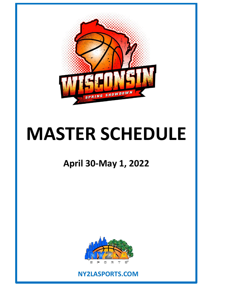

# **MASTER SCHEDULE**

## **April 30-May 1, 2022**



## **NY2LASPORTS.COM**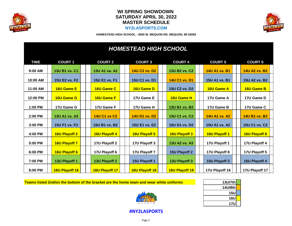

#### **WI SPRING SHOWDOWN SATURDAY APRIL 30, 2022 MASTER SCHEDULE NY2LASPORTS.COM**



**HOMESTEAD HIGH SCHOOL - 5000 W. MEQUON RD, MEQUON, WI 53092**

## *HOMESTEAD HIGH SCHOOL*

| <b>TIME</b> | <b>COURT 1</b>       | <b>COURT 2</b>       | <b>COURT 3</b>       | <b>COURT 4</b>       | <b>COURT 5</b>       | <b>COURT 6</b>       |
|-------------|----------------------|----------------------|----------------------|----------------------|----------------------|----------------------|
| 9:00 AM     | 13U B1 vs. C1        | 13U A1 va. A2        | <b>14U C2 vs. D2</b> | 13U B2 vs. C2        | <b>14U A1 vs. B1</b> | 14U A2 vs. B2        |
| 10:00 AM    | 15U E2 vs. F2        | 15U E1 vs. F1        | 15U C1 vs. D1        | 14U C1 vs. D1        | 15U A1 vs. B1        | <b>15U A2 vs. B2</b> |
| 11:00 AM    | <b>16U Game E</b>    | <b>16U Game C</b>    | <b>16U Game D</b>    | 15U C2 vs. D2        | 16U Game A           | 16U Game B           |
|             |                      |                      |                      |                      |                      |                      |
| 12:00 PM    | <b>16U Game G</b>    | <b>16U Game F</b>    | 17U Game E           | <b>16U Game H</b>    | 17U Game A           | 17U Game D           |
| 1:00 PM     | 17U Game G           | 17U Game F           | 17U Game H           | 13U B1 vs. B2        | 17U Game B           | 17U Game C           |
| 2:00 PM     | 13U A1 vs. A3        | <b>14U C1 vs C2</b>  | <b>14U D1 vs. D2</b> | 13U C1 vs. C2        | <b>14U A1 vs. A2</b> | 14U B1 vs. B2        |
| 3:00 PM     | 15U F1 vs. F2        | 15U B1 vs. B2        | 15U E1 vs. E2        | 15U D1 vs. D2        | 15U A1 vs. A2        | 15U C1 vs. C2        |
| 4:00 PM     | <b>16U Playoff 2</b> | <b>16U Playoff 4</b> | 16U Playoff 5        | <b>16U Playoff 3</b> | <b>16U Playoff 1</b> | 16U Playoff 8        |
| 5:00 PM     | 16U Playoff 7        | 17U Playoff 2        | 17U Playoff 3        | 13U A2 vs. A3        | 17U Playoff 1        | 17U Playoff 4        |
| 6:00 PM     | 16U Playoff 6        | 17U Playoff 6        | 17U Playoff 7        | 15U Playoff 2        | 17U Playoff 8        | 17U Playoff 5        |
| 7:00 PM     | 13U Playoff 1        | 13U Playoff 2        | 15U Playoff 1        | 13U Playoff 3        | 15U Playoff 3        | 15U Playoff 4        |
| 8:00 PM     | 16U Playoff 16       | 16U Playoff 17       | 16U Playoff 18       | 16U Playoff 19       | 17U Playoff 16       | 17U Playoff 17       |

**Teams listed 2nd/on the bottom of the bracket are the home team and wear white uniforms** 



| 13U/7th    |  |
|------------|--|
| 14U/8th    |  |
| <b>15U</b> |  |
| <b>16U</b> |  |
| <b>17U</b> |  |

**#NY2LASPORTS**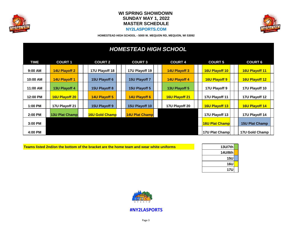

#### **WI SPRING SHOWDOWN SUNDAY MAY 1, 2022 MASTER SCHEDULE NY2LASPORTS.COM**



**HOMESTEAD HIGH SCHOOL - 5000 W. MEQUON RD, MEQUON, WI 53092**

| <b>HOMESTEAD HIGH SCHOOL</b> |  |                       |  |                       |  |                       |  |                      |  |                       |                       |
|------------------------------|--|-----------------------|--|-----------------------|--|-----------------------|--|----------------------|--|-----------------------|-----------------------|
| TIME                         |  | <b>COURT 1</b>        |  | <b>COURT 2</b>        |  | <b>COURT 3</b>        |  | <b>COURT 4</b>       |  | <b>COURT 5</b>        | <b>COURT 6</b>        |
| $9:00$ AM                    |  | <b>14U Playoff 2</b>  |  | 17U Playoff 18        |  | 17U Playoff 19        |  | <b>14U Playoff 3</b> |  | 16U Playoff 10        | 16U Playoff 11        |
| 10:00 AM                     |  | 14U Playoff 1         |  | 15U Playoff 6         |  | 15U Playoff 7         |  | <b>14U Playoff 4</b> |  | 16U Playoff 9         | <b>16U Playoff 12</b> |
| 11:00 AM                     |  | 13U Playoff 4         |  | 15U Playoff 8         |  | 15U Playoff 5         |  | 13U Playoff 5        |  | 17U Playoff 9         | 17U Playoff 10        |
| 12:00 PM                     |  | <b>16U Playoff 20</b> |  | <b>14U Playoff 5</b>  |  | 14U Playoff 6         |  | 16U Playoff 21       |  | 17U Playoff 11        | 17U Playoff 12        |
| 1:00 PM                      |  | 17U Playoff 21        |  | 15U Playoff 9         |  | 15U Playoff 10        |  | 17U Playoff 20       |  | 16U Playoff 13        | <b>16U Playoff 14</b> |
| 2:00 PM                      |  | <b>13U Plat Champ</b> |  | <b>16U Gold Champ</b> |  | <b>14U Plat Champ</b> |  |                      |  | 17U Playoff 13        | 17U Playoff 14        |
| 3:00 PM                      |  |                       |  |                       |  |                       |  |                      |  | <b>16U Plat Champ</b> | <b>15U Plat Champ</b> |
| 4:00 PM                      |  |                       |  |                       |  |                       |  |                      |  | 17U Plat Champ        | 17U Gold Champ        |

| <u>Teams listed 2nd/on the bottom of the bracket are the home team and wear white uniforms </u> |
|-------------------------------------------------------------------------------------------------|
|-------------------------------------------------------------------------------------------------|

| 13U/7th    |
|------------|
| 14U/8th    |
| <b>15U</b> |
| <b>16U</b> |
| <b>17U</b> |



**#NY2LASPORTS**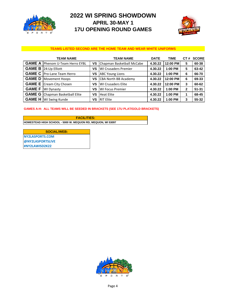

## **2022 WI SPRING SHOWDOWN APRIL 30-MAY 1 17U OPENING ROUND GAMES**



#### **TEAMS LISTED SECOND ARE THE HOME TEAM AND WEAR WHITE UNIFORMS**

| <b>TEAM NAME</b>                         |           | <b>TEAM NAME</b>             | <b>DATE</b> | <b>TIME</b> |              | CT# SCORE |
|------------------------------------------|-----------|------------------------------|-------------|-------------|--------------|-----------|
| <b>GAME A Phenom U-Team Herro EYBL</b>   |           | VS Chapman Basketball McCabe | 4.30.22     | 12:00 PM    | 5            | 60-38     |
| <b>GAME B</b> 24:Up Elliott              | ٧S        | <b>WI Crusaders Premier</b>  | 4.30.22     | 1:00 PM     | 5            | 63-42     |
| <b>GAME C</b> Pro-Lane Team Herro        | ٧S        | <b>ABC Young Lions</b>       | 4.30.22     | 1:00 PM     | 6            | 66-70     |
| <b>GAME D</b>   Movement Hoops           | ٧S        | <b>CBA North BB Academy</b>  | 4.30.22     | 12:00 PM    | 6            | 69-33     |
| <b>GAME E</b> Cream City Chosen          | <b>VS</b> | <b>WI Crusaders Elite</b>    | 4.30.22     | 12:00 PM    | 3            | 60-62     |
| <b>GAME F</b>   WI Dynasty               | <b>VS</b> | <b>WI Focus Premier</b>      | 4.30.22     | $1:00$ PM   | $\mathbf{2}$ | $51 - 31$ |
| <b>GAME G   Chapman Basketball Elite</b> | ٧S        | <b>Heat Elite</b>            | 4.30.22     | 1:00 PM     |              | 68-45     |
| <b>GAME H</b>   WI Swing Kunde           | ٧S        | <b>RIT Elite</b>             | 4.30.22     | $1:00$ PM   | 3            | 55-32     |

#### **GAMES A-H: ALL TEAMS WILL BE SEEDED IN BRACKETS (SEE 17U PLAT/GOLD BRACKETS)**

**HOMESTEAD HIGH SCHOOL - 5000 W. MEQUON RD, MEQUON, WI 53097 FACILITIES:**

**NY2LASPORTS.COM @NY2LASPORTSLIVE #NY2LAWISD2K22 SOCIAL/WEB:**

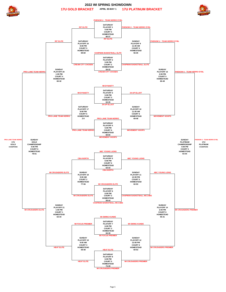



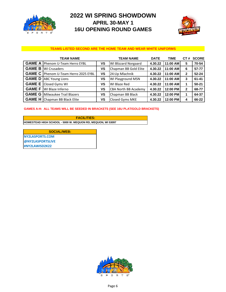

## **2022 WI SPRING SHOWDOWN APRIL 30-MAY 1 16U OPENING ROUND GAMES**



#### **TEAMS LISTED SECOND ARE THE HOME TEAM AND WEAR WHITE UNIFORMS**

| <b>TEAM NAME</b>                            |    | <b>TEAM NAME</b>            | <b>DATE</b> | <b>TIME</b> | <b>CT</b><br># | <b>SCORE</b> |
|---------------------------------------------|----|-----------------------------|-------------|-------------|----------------|--------------|
| <b>GAME A Phenom U-Team Herro EYBL</b>      | ٧S | <b>WI Blizzard Norgaard</b> | 4.30.22     | 11:00 AM    | 5              | 70-54        |
| <b>GAME B</b>   WI Crusaders                | ٧S | Chapman BB Gold Elite       | 4.30.22     | 11:00 AM    | 6              | 57-77        |
| <b>GAME C</b> Phenom U-Team Herro 2025 EYBL | VS | 24: Up Mlachnik             | 4.30.22     | 11:00 AM    | $\mathbf{2}$   | $52 - 24$    |
| <b>GAME D</b> ABC Young Lions               | ٧S | <b>WI Playground MSN</b>    | 4.30.22     | 11:00 AM    | 3              | $61 - 41$    |
| <b>GAME E</b> Closed Gyms WI                | ٧S | WI Blaze Red                | 4.30.22     | 11:00 AM    |                | $50 - 21$    |
| <b>GAME F</b> WI Blaze Inferno              | ٧S | <b>CBA North BB Academy</b> | 4.30.22     | 12:00 PM    | 2              | 68-77        |
| <b>GAME G   Milwaukee Trail Blazers</b>     | ٧S | Chapman BB Black            | 4.30.22     | 12:00 PM    |                | 64-37        |
| <b>GAME H Chapman BB Black Elite</b>        | ٧S | Closed Gyms MKE             | 4.30.22     | 12:00 PM    | 4              | 66-22        |

#### **GAMES A-H: ALL TEAMS WILL BE SEEDED IN BRACKETS (SEE 16U PLAT/GOLD BRACKETS)**

**HOMESTEAD HIGH SCHOOL - 5000 W. MEQUON RD, MEQUON, WI 53097 FACILITIES:**

**NY2LASPORTS.COM @NY2LASPORTSLIVE #NY2LAWISD2K22 SOCIAL/WEB:**

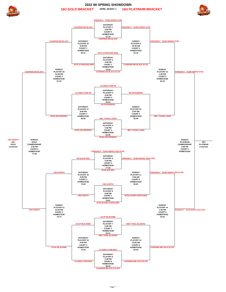

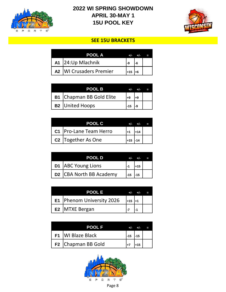

## **2022 WI SPRING SHOWDOWN 15U POOL KEY APRIL 30-MAY 1**



### **SEE 15U BRACKETS**

|    | POOL A                      |          |  |
|----|-----------------------------|----------|--|
|    | A1 24: Up Mlachnik          | -9       |  |
| A2 | <b>WI Crusaders Premier</b> | $1 + 15$ |  |

| <b>POOL B</b>                   |  |  |
|---------------------------------|--|--|
| <b>B1</b> Chapman BB Gold Elite |  |  |
| <b>B2</b> United Hoops          |  |  |

| POOL C                         |       |  |
|--------------------------------|-------|--|
| C1   Pro-Lane Team Herro       |       |  |
| C <sub>2</sub> Together As One | $+15$ |  |

| <b>POOL D</b>           | $+/-$ |       |  |
|-------------------------|-------|-------|--|
| D1   ABC Young Lions    |       | $+15$ |  |
| D2 CBA North BB Academy | $-15$ | $-15$ |  |

| POOL E                      |          |  |
|-----------------------------|----------|--|
| E1   Phenom University 2026 | $+15$ +1 |  |
| E2 MTXE Bergan              |          |  |

| <b>POOL F</b>       |       |       |  |
|---------------------|-------|-------|--|
| F1   WI Blaze Black | $-15$ | $-15$ |  |
| F2 Chapman BB Gold  |       | $+15$ |  |

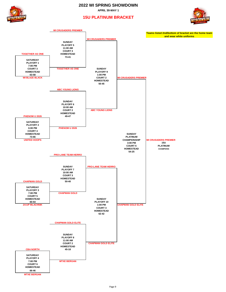#### **2022 WI SPRING SHOWDOWN**

**APRIL 30-MAY 1**





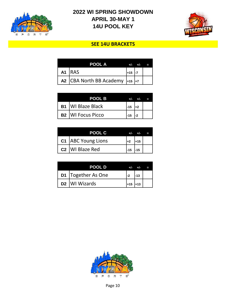

## **2022 WI SPRING SHOWDOWN APRIL 30-MAY 1 14U POOL KEY**



## **SEE 14U BRACKETS**

| POOL A                                      |       |  |
|---------------------------------------------|-------|--|
| A1 IRAS                                     | $+15$ |  |
| A2 CBA North BB Academy $\frac{1}{1+15}$ +7 |       |  |

|           | <b>POOL B</b>         |      |    |  |
|-----------|-----------------------|------|----|--|
| <b>B1</b> | <b>WI Blaze Black</b> | l-15 | ⊥າ |  |
| <b>B2</b> | <b>WI Focus Picco</b> | -15  |    |  |

| <b>POOL C</b>               |      |       |  |
|-----------------------------|------|-------|--|
| C1   ABC Young Lions        | l+2  | $+15$ |  |
| C <sub>2</sub> WI Blaze Red | l-15 |       |  |

| POOL D                    |       |          |  |
|---------------------------|-------|----------|--|
| D1   Together As One      | 1-2   | $-13$    |  |
| D <sub>2</sub> WI Wizards | $+15$ | $1 + 13$ |  |

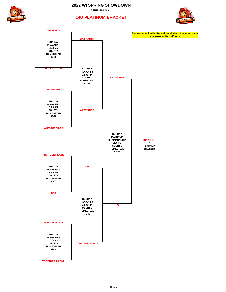**2022 WI SPRING SHOWDOWN**

**APRIL 30-MAY 1**



#### **14U PLATINUM BRACKET**



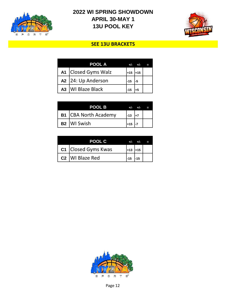

## **2022 WI SPRING SHOWDOWN APRIL 30-MAY 1 13U POOL KEY**



## **SEE 13U BRACKETS**

| POOL A              |       |       |  |
|---------------------|-------|-------|--|
| A1 Closed Gyms Walz | $+15$ | $+15$ |  |
| A2 24: Up Anderson  | $-15$ |       |  |
| A3   WI Blaze Black |       |       |  |

| <b>POOL B</b>               | —/—   |  |
|-----------------------------|-------|--|
| <b>B1</b> CBA North Academy | $-13$ |  |
| B <sub>2</sub> WI Swish     | l+15  |  |

| POOL C                        |           |  |
|-------------------------------|-----------|--|
| C1 Closed Gyms Kwas           | $+13$ +15 |  |
| C <sub>2</sub>   WI Blaze Red | $-15$     |  |